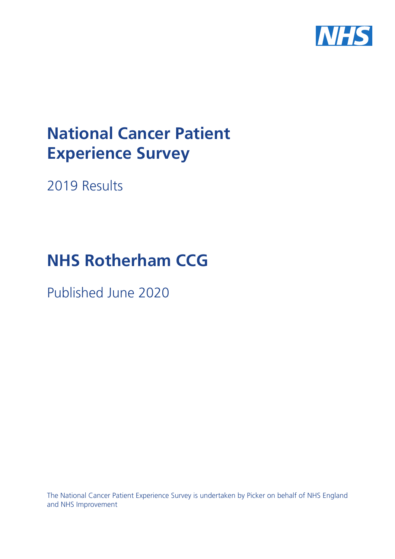

# **National Cancer Patient Experience Survey**

2019 Results

# **NHS Rotherham CCG**

Published June 2020

The National Cancer Patient Experience Survey is undertaken by Picker on behalf of NHS England and NHS Improvement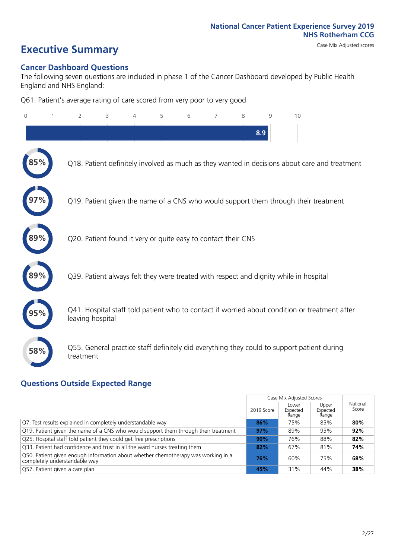# **Executive Summary** Case Mix Adjusted scores

# **Cancer Dashboard Questions**

The following seven questions are included in phase 1 of the Cancer Dashboard developed by Public Health England and NHS England:

Q61. Patient's average rating of care scored from very poor to very good

| $\mathbf{0}$ | $\overline{2}$                                                | 3 | 4 | 5 | 6 | 7 | 8 | 9   | 10                                                                                            |  |
|--------------|---------------------------------------------------------------|---|---|---|---|---|---|-----|-----------------------------------------------------------------------------------------------|--|
|              |                                                               |   |   |   |   |   |   | 8.9 |                                                                                               |  |
|              |                                                               |   |   |   |   |   |   |     | Q18. Patient definitely involved as much as they wanted in decisions about care and treatment |  |
|              |                                                               |   |   |   |   |   |   |     | Q19. Patient given the name of a CNS who would support them through their treatment           |  |
|              | Q20. Patient found it very or quite easy to contact their CNS |   |   |   |   |   |   |     |                                                                                               |  |
|              |                                                               |   |   |   |   |   |   |     | Q39. Patient always felt they were treated with respect and dignity while in hospital         |  |
|              | leaving hospital                                              |   |   |   |   |   |   |     | Q41. Hospital staff told patient who to contact if worried about condition or treatment after |  |
| 58%          | treatment                                                     |   |   |   |   |   |   |     | Q55. General practice staff definitely did everything they could to support patient during    |  |
|              |                                                               |   |   |   |   |   |   |     |                                                                                               |  |

# **Questions Outside Expected Range**

|                                                                                                                    |            | Case Mix Adjusted Scores   |                            |                   |
|--------------------------------------------------------------------------------------------------------------------|------------|----------------------------|----------------------------|-------------------|
|                                                                                                                    | 2019 Score | Lower<br>Expected<br>Range | Upper<br>Expected<br>Range | National<br>Score |
| Q7. Test results explained in completely understandable way                                                        | 86%        | 75%                        | 85%                        | 80%               |
| Q19. Patient given the name of a CNS who would support them through their treatment                                | 97%        | 89%                        | 95%                        | 92%               |
| Q25. Hospital staff told patient they could get free prescriptions                                                 | 90%        | 76%                        | 88%                        | 82%               |
| Q33. Patient had confidence and trust in all the ward nurses treating them                                         | 82%        | 67%                        | 81%                        | 74%               |
| Q50. Patient given enough information about whether chemotherapy was working in a<br>completely understandable way | 76%        | 60%                        | 75%                        | 68%               |
| Q57. Patient given a care plan                                                                                     | 45%        | 31%                        | 44%                        | 38%               |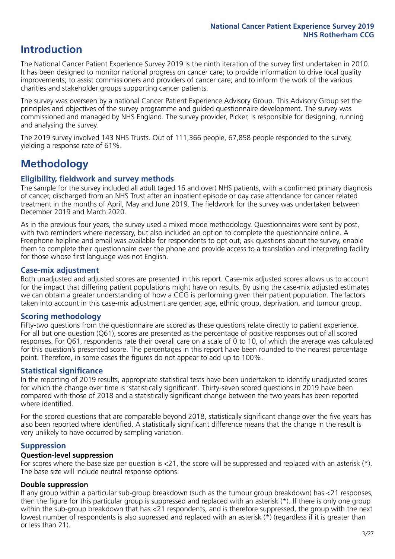# **Introduction**

The National Cancer Patient Experience Survey 2019 is the ninth iteration of the survey first undertaken in 2010. It has been designed to monitor national progress on cancer care; to provide information to drive local quality improvements; to assist commissioners and providers of cancer care; and to inform the work of the various charities and stakeholder groups supporting cancer patients.

The survey was overseen by a national Cancer Patient Experience Advisory Group. This Advisory Group set the principles and objectives of the survey programme and guided questionnaire development. The survey was commissioned and managed by NHS England. The survey provider, Picker, is responsible for designing, running and analysing the survey.

The 2019 survey involved 143 NHS Trusts. Out of 111,366 people, 67,858 people responded to the survey, yielding a response rate of 61%.

# **Methodology**

# **Eligibility, eldwork and survey methods**

The sample for the survey included all adult (aged 16 and over) NHS patients, with a confirmed primary diagnosis of cancer, discharged from an NHS Trust after an inpatient episode or day case attendance for cancer related treatment in the months of April, May and June 2019. The fieldwork for the survey was undertaken between December 2019 and March 2020.

As in the previous four years, the survey used a mixed mode methodology. Questionnaires were sent by post, with two reminders where necessary, but also included an option to complete the questionnaire online. A Freephone helpline and email was available for respondents to opt out, ask questions about the survey, enable them to complete their questionnaire over the phone and provide access to a translation and interpreting facility for those whose first language was not English.

# **Case-mix adjustment**

Both unadjusted and adjusted scores are presented in this report. Case-mix adjusted scores allows us to account for the impact that differing patient populations might have on results. By using the case-mix adjusted estimates we can obtain a greater understanding of how a CCG is performing given their patient population. The factors taken into account in this case-mix adjustment are gender, age, ethnic group, deprivation, and tumour group.

# **Scoring methodology**

Fifty-two questions from the questionnaire are scored as these questions relate directly to patient experience. For all but one question (Q61), scores are presented as the percentage of positive responses out of all scored responses. For Q61, respondents rate their overall care on a scale of 0 to 10, of which the average was calculated for this question's presented score. The percentages in this report have been rounded to the nearest percentage point. Therefore, in some cases the figures do not appear to add up to 100%.

# **Statistical significance**

In the reporting of 2019 results, appropriate statistical tests have been undertaken to identify unadjusted scores for which the change over time is 'statistically significant'. Thirty-seven scored questions in 2019 have been compared with those of 2018 and a statistically significant change between the two years has been reported where identified.

For the scored questions that are comparable beyond 2018, statistically significant change over the five years has also been reported where identified. A statistically significant difference means that the change in the result is very unlikely to have occurred by sampling variation.

# **Suppression**

### **Question-level suppression**

For scores where the base size per question is  $<$ 21, the score will be suppressed and replaced with an asterisk (\*). The base size will include neutral response options.

# **Double suppression**

If any group within a particular sub-group breakdown (such as the tumour group breakdown) has <21 responses, then the figure for this particular group is suppressed and replaced with an asterisk (\*). If there is only one group within the sub-group breakdown that has <21 respondents, and is therefore suppressed, the group with the next lowest number of respondents is also supressed and replaced with an asterisk (\*) (regardless if it is greater than or less than 21).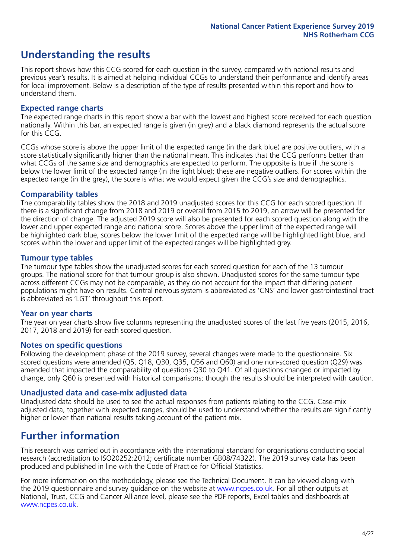# **Understanding the results**

This report shows how this CCG scored for each question in the survey, compared with national results and previous year's results. It is aimed at helping individual CCGs to understand their performance and identify areas for local improvement. Below is a description of the type of results presented within this report and how to understand them.

# **Expected range charts**

The expected range charts in this report show a bar with the lowest and highest score received for each question nationally. Within this bar, an expected range is given (in grey) and a black diamond represents the actual score for this CCG.

CCGs whose score is above the upper limit of the expected range (in the dark blue) are positive outliers, with a score statistically significantly higher than the national mean. This indicates that the CCG performs better than what CCGs of the same size and demographics are expected to perform. The opposite is true if the score is below the lower limit of the expected range (in the light blue); these are negative outliers. For scores within the expected range (in the grey), the score is what we would expect given the CCG's size and demographics.

# **Comparability tables**

The comparability tables show the 2018 and 2019 unadjusted scores for this CCG for each scored question. If there is a significant change from 2018 and 2019 or overall from 2015 to 2019, an arrow will be presented for the direction of change. The adjusted 2019 score will also be presented for each scored question along with the lower and upper expected range and national score. Scores above the upper limit of the expected range will be highlighted dark blue, scores below the lower limit of the expected range will be highlighted light blue, and scores within the lower and upper limit of the expected ranges will be highlighted grey.

# **Tumour type tables**

The tumour type tables show the unadjusted scores for each scored question for each of the 13 tumour groups. The national score for that tumour group is also shown. Unadjusted scores for the same tumour type across different CCGs may not be comparable, as they do not account for the impact that differing patient populations might have on results. Central nervous system is abbreviated as 'CNS' and lower gastrointestinal tract is abbreviated as 'LGT' throughout this report.

# **Year on year charts**

The year on year charts show five columns representing the unadjusted scores of the last five years (2015, 2016, 2017, 2018 and 2019) for each scored question.

# **Notes on specific questions**

Following the development phase of the 2019 survey, several changes were made to the questionnaire. Six scored questions were amended (Q5, Q18, Q30, Q35, Q56 and Q60) and one non-scored question (Q29) was amended that impacted the comparability of questions Q30 to Q41. Of all questions changed or impacted by change, only Q60 is presented with historical comparisons; though the results should be interpreted with caution.

# **Unadjusted data and case-mix adjusted data**

Unadjusted data should be used to see the actual responses from patients relating to the CCG. Case-mix adjusted data, together with expected ranges, should be used to understand whether the results are significantly higher or lower than national results taking account of the patient mix.

# **Further information**

This research was carried out in accordance with the international standard for organisations conducting social research (accreditation to ISO20252:2012; certificate number GB08/74322). The 2019 survey data has been produced and published in line with the Code of Practice for Official Statistics.

For more information on the methodology, please see the Technical Document. It can be viewed along with the 2019 questionnaire and survey quidance on the website at [www.ncpes.co.uk](https://www.ncpes.co.uk/supporting-documents). For all other outputs at National, Trust, CCG and Cancer Alliance level, please see the PDF reports, Excel tables and dashboards at [www.ncpes.co.uk.](https://www.ncpes.co.uk/current-results)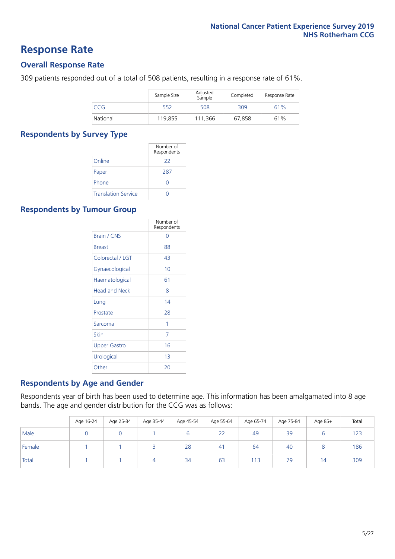# **Response Rate**

# **Overall Response Rate**

309 patients responded out of a total of 508 patients, resulting in a response rate of 61%.

|            | Sample Size | Adjusted<br>Sample | Completed | Response Rate |
|------------|-------------|--------------------|-----------|---------------|
| <b>CCG</b> | 552         | 508                | 309       | 61%           |
| National   | 119.855     | 111.366            | 67.858    | 61%           |

# **Respondents by Survey Type**

|                            | Number of<br>Respondents |
|----------------------------|--------------------------|
| Online                     | 22                       |
| Paper                      | 287                      |
| Phone                      | O                        |
| <b>Translation Service</b> |                          |

# **Respondents by Tumour Group**

|                      | Number of<br>Respondents |
|----------------------|--------------------------|
| Brain / CNS          | ∩                        |
| <b>Breast</b>        | 88                       |
| Colorectal / LGT     | 43                       |
| Gynaecological       | 10                       |
| Haematological       | 61                       |
| <b>Head and Neck</b> | 8                        |
| Lung                 | 14                       |
| Prostate             | 28                       |
| Sarcoma              | 1                        |
| Skin                 | 7                        |
| <b>Upper Gastro</b>  | 16                       |
| Urological           | 1 <sub>3</sub>           |
| Other                | 20                       |

# **Respondents by Age and Gender**

Respondents year of birth has been used to determine age. This information has been amalgamated into 8 age bands. The age and gender distribution for the CCG was as follows:

|        | Age 16-24 | Age 25-34 | Age 35-44 | Age 45-54 | Age 55-64 | Age 65-74 | Age 75-84 | Age 85+        | Total |
|--------|-----------|-----------|-----------|-----------|-----------|-----------|-----------|----------------|-------|
| Male   |           |           |           |           | 22        | 49        | 39        |                | 123   |
| Female |           |           |           | 28        | 41        | 64        | 40        |                | 186   |
| Total  |           |           |           | 34        | 63        | 113       | 79        | $\overline{4}$ | 309   |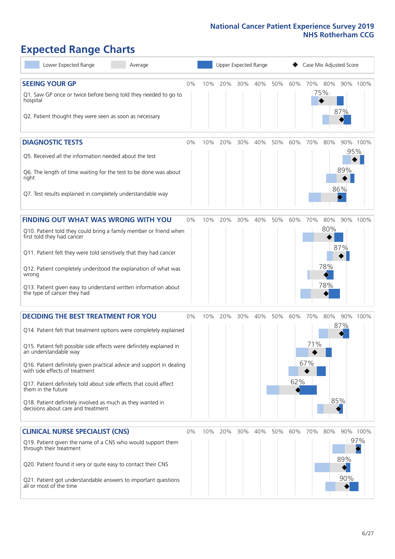# **Expected Range Charts**

| Lower Expected Range<br>Average                                                                         | Upper Expected Range<br>Case Mix Adjusted Score |     |     |     |     |     |     |     |         |     |                        |
|---------------------------------------------------------------------------------------------------------|-------------------------------------------------|-----|-----|-----|-----|-----|-----|-----|---------|-----|------------------------|
| <b>SEEING YOUR GP</b>                                                                                   | 0%                                              | 10% | 20% | 30% | 40% | 50% | 60% |     | 70% 80% |     | 90% 100%               |
| Q1. Saw GP once or twice before being told they needed to go to<br>hospital                             |                                                 |     |     |     |     |     |     |     | 75%     |     |                        |
| Q2. Patient thought they were seen as soon as necessary                                                 |                                                 |     |     |     |     |     |     |     |         | 87% |                        |
| <b>DIAGNOSTIC TESTS</b>                                                                                 | $0\%$                                           | 10% | 20% | 30% | 40% | 50% | 60% | 70% | 80%     |     | 90% 100%               |
| Q5. Received all the information needed about the test                                                  |                                                 |     |     |     |     |     |     |     |         |     | 95%                    |
| Q6. The length of time waiting for the test to be done was about<br>right                               |                                                 |     |     |     |     |     |     |     |         | 89% |                        |
| Q7. Test results explained in completely understandable way                                             |                                                 |     |     |     |     |     |     |     |         | 86% |                        |
| <b>FINDING OUT WHAT WAS WRONG WITH YOU</b>                                                              | $0\%$                                           | 10% | 20% | 30% | 40% | 50% | 60% | 70% | 80%     |     | 90% 100%               |
| Q10. Patient told they could bring a family member or friend when<br>first told they had cancer         |                                                 |     |     |     |     |     |     |     | 80%     |     |                        |
| Q11. Patient felt they were told sensitively that they had cancer                                       |                                                 |     |     |     |     |     |     |     |         | 87% |                        |
| Q12. Patient completely understood the explanation of what was<br>wrong                                 |                                                 |     |     |     |     |     |     |     | 78%     |     |                        |
| Q13. Patient given easy to understand written information about<br>the type of cancer they had          |                                                 |     |     |     |     |     |     |     | 78%     |     |                        |
| <b>DECIDING THE BEST TREATMENT FOR YOU</b>                                                              | $0\%$                                           | 10% | 20% | 30% | 40% | 50% | 60% | 70% | 80%     |     | 90% 100%               |
| Q14. Patient felt that treatment options were completely explained                                      |                                                 |     |     |     |     |     |     |     |         | 87% |                        |
| Q15. Patient felt possible side effects were definitely explained in<br>an understandable way           |                                                 |     |     |     |     |     |     | 71% |         |     |                        |
| Q16. Patient definitely given practical advice and support in dealing<br>with side effects of treatment |                                                 |     |     |     |     |     |     | 67% |         |     |                        |
| Q17. Patient definitely told about side effects that could affect<br>them in the future                 |                                                 |     |     |     |     |     | 62% |     |         |     |                        |
| Q18. Patient definitely involved as much as they wanted in<br>decisions about care and treatment        |                                                 |     |     |     |     |     |     |     |         | 85% |                        |
| <b>CLINICAL NURSE SPECIALIST (CNS)</b>                                                                  | $0\%$                                           | 10% | 20% | 30% | 40% | 50% | 60% | 70% | 80%     |     | 90% 100%               |
| Q19. Patient given the name of a CNS who would support them<br>through their treatment                  |                                                 |     |     |     |     |     |     |     |         |     | 97%<br>$\blacklozenge$ |
| Q20. Patient found it very or quite easy to contact their CNS                                           |                                                 |     |     |     |     |     |     |     |         | 89% |                        |
| Q21. Patient got understandable answers to important questions<br>all or most of the time               |                                                 |     |     |     |     |     |     |     |         | 90% |                        |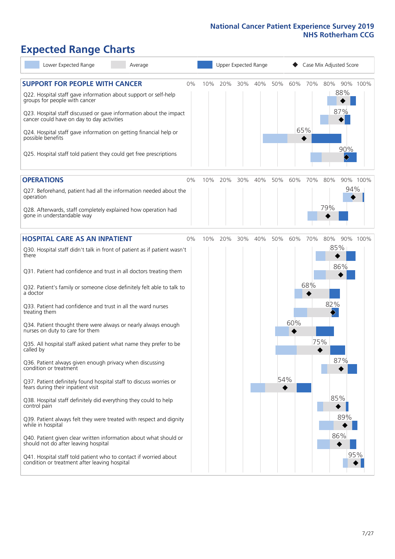# **Expected Range Charts**

| Lower Expected Range<br>Average                                                                                   |     |     | Upper Expected Range |     |     | Case Mix Adjusted Score |     |            |          |  |
|-------------------------------------------------------------------------------------------------------------------|-----|-----|----------------------|-----|-----|-------------------------|-----|------------|----------|--|
| <b>SUPPORT FOR PEOPLE WITH CANCER</b><br>0%<br>Q22. Hospital staff gave information about support or self-help    | 10% | 20% | 30%                  | 40% | 50% | 60%                     | 70% | 80%<br>88% | 90% 100% |  |
| groups for people with cancer                                                                                     |     |     |                      |     |     |                         |     | 87%        |          |  |
| Q23. Hospital staff discussed or gave information about the impact<br>cancer could have on day to day activities  |     |     |                      |     |     |                         |     |            |          |  |
| Q24. Hospital staff gave information on getting financial help or<br>possible benefits                            |     |     |                      |     |     | 65%                     |     |            |          |  |
| Q25. Hospital staff told patient they could get free prescriptions                                                |     |     |                      |     |     |                         |     | 90%        |          |  |
| <b>OPERATIONS</b><br>0%                                                                                           | 10% | 20% | 30%                  | 40% | 50% | 60%                     | 70% | 80%        | 90% 100% |  |
| Q27. Beforehand, patient had all the information needed about the<br>operation                                    |     |     |                      |     |     |                         |     |            | 94%      |  |
| Q28. Afterwards, staff completely explained how operation had<br>gone in understandable way                       |     |     |                      |     |     |                         |     | 79%        |          |  |
| <b>HOSPITAL CARE AS AN INPATIENT</b><br>0%                                                                        | 10% | 20% | 30%                  | 40% | 50% | 60%                     | 70% | 80%        | 90% 100% |  |
| Q30. Hospital staff didn't talk in front of patient as if patient wasn't<br>there                                 |     |     |                      |     |     |                         |     | 85%        |          |  |
| Q31. Patient had confidence and trust in all doctors treating them                                                |     |     |                      |     |     |                         |     | 86%        |          |  |
| Q32. Patient's family or someone close definitely felt able to talk to<br>a doctor                                |     |     |                      |     |     |                         | 68% |            |          |  |
| Q33. Patient had confidence and trust in all the ward nurses<br>treating them                                     |     |     |                      |     |     |                         |     | 82%        |          |  |
| Q34. Patient thought there were always or nearly always enough<br>nurses on duty to care for them                 |     |     |                      |     |     | 60%                     |     |            |          |  |
| Q35. All hospital staff asked patient what name they prefer to be<br>called by                                    |     |     |                      |     |     |                         | 75% |            |          |  |
| Q36. Patient always given enough privacy when discussing<br>condition or treatment                                |     |     |                      |     |     |                         |     | 87%        |          |  |
| Q37. Patient definitely found hospital staff to discuss worries or<br>fears during their inpatient visit          |     |     |                      |     | 54% |                         |     |            |          |  |
| Q38. Hospital staff definitely did everything they could to help<br>control pain                                  |     |     |                      |     |     |                         |     | 85%        |          |  |
| Q39. Patient always felt they were treated with respect and dignity<br>while in hospital                          |     |     |                      |     |     |                         |     | 89%        |          |  |
| Q40. Patient given clear written information about what should or<br>should not do after leaving hospital         |     |     |                      |     |     |                         |     | 86%        |          |  |
| Q41. Hospital staff told patient who to contact if worried about<br>condition or treatment after leaving hospital |     |     |                      |     |     |                         |     |            | 95%      |  |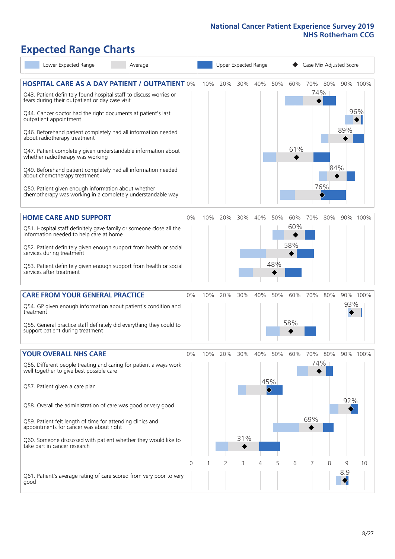# **Expected Range Charts**

| Lower Expected Range<br>Average                                                                                             |                | Upper Expected Range |     |     |     |                         | Case Mix Adjusted Score |     |                |          |          |  |
|-----------------------------------------------------------------------------------------------------------------------------|----------------|----------------------|-----|-----|-----|-------------------------|-------------------------|-----|----------------|----------|----------|--|
| <b>HOSPITAL CARE AS A DAY PATIENT / OUTPATIENT 0%</b><br>Q43. Patient definitely found hospital staff to discuss worries or |                | 10%                  | 20% | 30% | 40% | 50%                     | 60%                     |     | 70% 80%<br>74% |          | 90% 100% |  |
| fears during their outpatient or day case visit<br>Q44. Cancer doctor had the right documents at patient's last             |                |                      |     |     |     |                         |                         |     |                |          | 96%      |  |
| outpatient appointment                                                                                                      |                |                      |     |     |     |                         |                         |     |                | 89%      |          |  |
| Q46. Beforehand patient completely had all information needed<br>about radiotherapy treatment                               |                |                      |     |     |     |                         | 61%                     |     |                |          |          |  |
| Q47. Patient completely given understandable information about<br>whether radiotherapy was working                          |                |                      |     |     |     |                         |                         |     | 84%            |          |          |  |
| Q49. Beforehand patient completely had all information needed<br>about chemotherapy treatment                               |                |                      |     |     |     |                         |                         |     | 76%            |          |          |  |
| Q50. Patient given enough information about whether<br>chemotherapy was working in a completely understandable way          |                |                      |     |     |     |                         |                         |     |                |          |          |  |
| <b>HOME CARE AND SUPPORT</b>                                                                                                | 0%             | 10%                  | 20% | 30% | 40% | 50%                     | 60%                     | 70% | 80%            |          | 90% 100% |  |
| Q51. Hospital staff definitely gave family or someone close all the<br>information needed to help care at home              |                |                      |     |     |     |                         | 60%                     |     |                |          |          |  |
| Q52. Patient definitely given enough support from health or social<br>services during treatment                             |                |                      |     |     |     |                         | 58%                     |     |                |          |          |  |
| Q53. Patient definitely given enough support from health or social<br>services after treatment                              |                |                      |     |     |     | 48%                     |                         |     |                |          |          |  |
| <b>CARE FROM YOUR GENERAL PRACTICE</b>                                                                                      | $0\%$          | 10%                  | 20% | 30% | 40% | 50%                     | 60%                     | 70% | 80%            |          | 90% 100% |  |
| Q54. GP given enough information about patient's condition and<br>treatment                                                 |                |                      |     |     |     |                         |                         |     |                | 93%      |          |  |
| Q55. General practice staff definitely did everything they could to<br>support patient during treatment                     |                |                      |     |     |     |                         | 58%                     |     |                |          |          |  |
| YOUR OVERALL NHS CARE                                                                                                       | 0%             | 10%                  | 20% | 30% | 40% | 50%                     | 60%                     | 70% | 80%            |          | 90% 100% |  |
| Q56. Different people treating and caring for patient always work<br>well together to give best possible care               |                |                      |     |     |     |                         |                         |     | 74%            |          |          |  |
| Q57. Patient given a care plan                                                                                              |                |                      |     |     |     | 45%<br>$\hat{\diamond}$ |                         |     |                |          |          |  |
| Q58. Overall the administration of care was good or very good                                                               |                |                      |     |     |     |                         |                         |     |                | 92%      |          |  |
| Q59. Patient felt length of time for attending clinics and<br>appointments for cancer was about right                       |                |                      |     |     |     |                         |                         | 69% |                |          |          |  |
| Q60. Someone discussed with patient whether they would like to<br>take part in cancer research                              |                |                      |     | 31% |     |                         |                         |     |                |          |          |  |
|                                                                                                                             | $\overline{0}$ |                      | 2   | 3   | 4   | 5                       | 6                       | 7   | 8              | 9<br>8.9 | 10       |  |
| Q61. Patient's average rating of care scored from very poor to very<br>good                                                 |                |                      |     |     |     |                         |                         |     |                |          |          |  |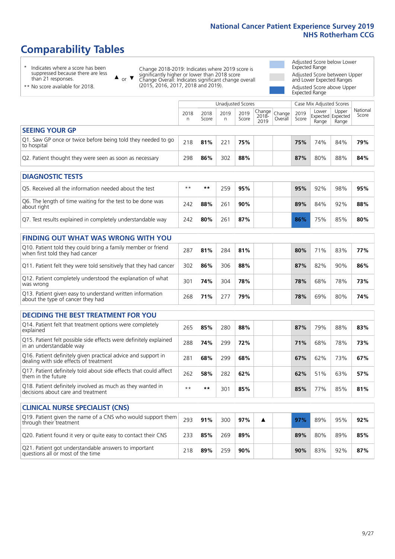# **Comparability Tables**

\* Indicates where a score has been suppressed because there are less than 21 responses.

\*\* No score available for 2018.

 $\triangle$  or  $\nabla$ 

Change 2018-2019: Indicates where 2019 score is significantly higher or lower than 2018 score Change Overall: Indicates significant change overall (2015, 2016, 2017, 2018 and 2019).

Adjusted Score below Lower Expected Range Adjusted Score between Upper and Lower Expected Ranges Adjusted Score above Upper

Expected Range

|                                                                             |           |               | Unadjusted Scores |               |                                            |         |               | Case Mix Adjusted Scores                   |                |                   |
|-----------------------------------------------------------------------------|-----------|---------------|-------------------|---------------|--------------------------------------------|---------|---------------|--------------------------------------------|----------------|-------------------|
|                                                                             | 2018<br>n | 2018<br>Score | 2019<br>n         | 2019<br>Score | $\sqrt{Change} _{Change}$<br>2018-<br>2019 | Overall | 2019<br>Score | Lower<br><b>Expected Expected</b><br>Range | Upper<br>Range | National<br>Score |
| <b>SEEING YOUR GP</b>                                                       |           |               |                   |               |                                            |         |               |                                            |                |                   |
| Q1. Saw GP once or twice before being told they needed to go<br>to hospital | 218       | 81%           | 221               | 75%           |                                            |         | 75%           | 74%                                        | 84%            | 79%               |
| Q2. Patient thought they were seen as soon as necessary                     | 298       | 86%           | 302               | 88%           |                                            |         | 87%           | 80%                                        | 88%            | 84%               |
| <b>DIAGNOSTIC TESTS</b>                                                     |           |               |                   |               |                                            |         |               |                                            |                |                   |
| O5. Received all the information needed about the test                      | $***$     | **            | 259               | 95%           |                                            |         | 95%           | 92%                                        | 98%            | 95%               |

| QUE RECEIVED OIL LITE ILITURITION LITEEDED ADOUL LITE LESL                |     |     | <i>L.J.J</i> | -23.70 |  | <i>33 1</i> 0 | $JZ$ /0 | - 2022/0 | <i>33 /</i> 0 |
|---------------------------------------------------------------------------|-----|-----|--------------|--------|--|---------------|---------|----------|---------------|
| Q6. The length of time waiting for the test to be done was<br>about right | 242 | 88% | 261          | 90%    |  | 89%           | 84%     | 92%      | 88%           |
| Q7. Test results explained in completely understandable way               | 242 | 80% | 261          | 87%    |  | 86%           | 75%     | 85%      | 80%           |

| <b>FINDING OUT WHAT WAS WRONG WITH YOU</b> |  |
|--------------------------------------------|--|
|                                            |  |

| Q10. Patient told they could bring a family member or friend<br>when first told they had cancer | 287 | 81% | 284 | 81% |  | 80% | 71 <sub>%</sub> | 83% | 77% |
|-------------------------------------------------------------------------------------------------|-----|-----|-----|-----|--|-----|-----------------|-----|-----|
| Q11. Patient felt they were told sensitively that they had cancer                               | 302 | 86% | 306 | 88% |  | 87% | 82%             | 90% | 86% |
| Q12. Patient completely understood the explanation of what<br>was wrong                         | 301 | 74% | 304 | 78% |  | 78% | 68%             | 78% | 73% |
| Q13. Patient given easy to understand written information<br>about the type of cancer they had  | 268 | 71% | 777 | 79% |  | 78% | 69%             | 80% | 74% |

|  | <b>DECIDING THE BEST TREATMENT FOR YOU</b> |  |
|--|--------------------------------------------|--|
|  |                                            |  |

| Q14. Patient felt that treatment options were completely<br>explained                                   | 265  | 85% | 280 | 88% |  | 87% | 79% | 88% | 83% |
|---------------------------------------------------------------------------------------------------------|------|-----|-----|-----|--|-----|-----|-----|-----|
| Q15. Patient felt possible side effects were definitely explained<br>In an understandable way           | 288  | 74% | 299 | 72% |  | 71% | 68% | 78% | 73% |
| Q16. Patient definitely given practical advice and support in<br>dealing with side effects of treatment | 281  | 68% | 299 | 68% |  | 67% | 62% | 73% | 67% |
| Q17. Patient definitely told about side effects that could affect<br>them in the future                 | 262  | 58% | 282 | 62% |  | 62% | 51% | 63% | 57% |
| Q18. Patient definitely involved as much as they wanted in<br>decisions about care and treatment        | $**$ | **  | 301 | 85% |  | 85% | 77% | 85% | 81% |

| <b>CLINICAL NURSE SPECIALIST (CNS)</b>                                                    |     |     |     |     |  |     |     |     |     |
|-------------------------------------------------------------------------------------------|-----|-----|-----|-----|--|-----|-----|-----|-----|
| Q19. Patient given the name of a CNS who would support them<br>through their treatment    | 293 | 91% | 300 | 97% |  | 97% | 89% | 95% | 92% |
| Q20. Patient found it very or quite easy to contact their CNS                             | 233 | 85% | 269 | 89% |  | 89% | 80% | 89% | 85% |
| Q21. Patient got understandable answers to important<br>questions all or most of the time | 218 | 89% | 259 | 90% |  | 90% | 83% | 92% | 87% |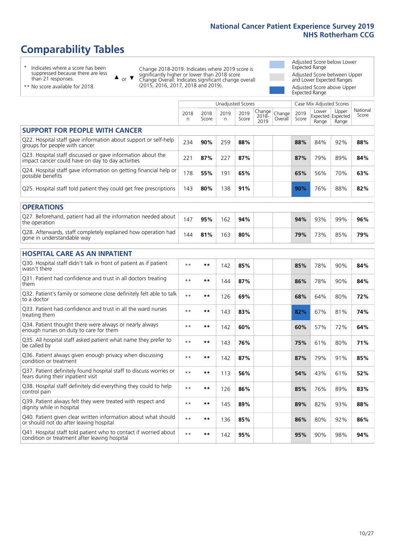# **Comparability Tables**

\* Indicates where a score has been suppressed because there are less than 21 responses.

\*\* No score available for 2018.

 $\triangle$  or  $\nabla$ 

Change 2018-2019: Indicates where 2019 score is significantly higher or lower than 2018 score Change Overall: Indicates significant change overall (2015, 2016, 2017, 2018 and 2019).

Adjusted Score below Lower Expected Range Adjusted Score between Upper and Lower Expected Ranges Adjusted Score above Upper Expected Range

|                                                                                                                   | <b>Unadjusted Scores</b> |               |           |               |                         |                   |               | Case Mix Adjusted Scores |                                     |                   |
|-------------------------------------------------------------------------------------------------------------------|--------------------------|---------------|-----------|---------------|-------------------------|-------------------|---------------|--------------------------|-------------------------------------|-------------------|
|                                                                                                                   | 2018<br>$\mathsf{n}$     | 2018<br>Score | 2019<br>n | 2019<br>Score | Change<br>2018-<br>2019 | Change<br>Overall | 2019<br>Score | Lower<br>Range           | Upper<br>Expected Expected<br>Range | National<br>Score |
| <b>SUPPORT FOR PEOPLE WITH CANCER</b>                                                                             |                          |               |           |               |                         |                   |               |                          |                                     |                   |
| Q22. Hospital staff gave information about support or self-help<br>groups for people with cancer                  | 234                      | 90%           | 259       | 88%           |                         |                   | 88%           | 84%                      | 92%                                 | 88%               |
| Q23. Hospital staff discussed or gave information about the<br>impact cancer could have on day to day activities  | 221                      | 87%           | 227       | 87%           |                         |                   | 87%           | 79%                      | 89%                                 | 84%               |
| Q24. Hospital staff gave information on getting financial help or<br>possible benefits                            | 178                      | 55%           | 191       | 65%           |                         |                   | 65%           | 56%                      | 70%                                 | 63%               |
| Q25. Hospital staff told patient they could get free prescriptions                                                | 143                      | 80%           | 138       | 91%           |                         |                   | 90%           | 76%                      | 88%                                 | 82%               |
| <b>OPERATIONS</b>                                                                                                 |                          |               |           |               |                         |                   |               |                          |                                     |                   |
| Q27. Beforehand, patient had all the information needed about<br>the operation                                    | 147                      | 95%           | 162       | 94%           |                         |                   | 94%           | 93%                      | 99%                                 | 96%               |
| Q28. Afterwards, staff completely explained how operation had<br>gone in understandable way                       | 144                      | 81%           | 163       | 80%           |                         |                   | 79%           | 73%                      | 85%                                 | 79%               |
| <b>HOSPITAL CARE AS AN INPATIENT</b>                                                                              |                          |               |           |               |                         |                   |               |                          |                                     |                   |
| Q30. Hospital staff didn't talk in front of patient as if patient<br>wasn't there                                 | $* *$                    | $***$         | 142       | 85%           |                         |                   | 85%           | 78%                      | 90%                                 | 84%               |
| Q31. Patient had confidence and trust in all doctors treating<br>them                                             | $* *$                    | $**$          | 144       | 87%           |                         |                   | 86%           | 78%                      | 90%                                 | 84%               |
| Q32. Patient's family or someone close definitely felt able to talk<br>to a doctor                                | $* *$                    | $***$         | 126       | 69%           |                         |                   | 68%           | 64%                      | 80%                                 | 72%               |
| Q33. Patient had confidence and trust in all the ward nurses<br>treating them                                     | $* *$                    | $***$         | 143       | 83%           |                         |                   | 82%           | 67%                      | 81%                                 | 74%               |
| Q34. Patient thought there were always or nearly always<br>enough nurses on duty to care for them                 | $* *$                    | $***$         | 142       | 60%           |                         |                   | 60%           | 57%                      | 72%                                 | 64%               |
| Q35. All hospital staff asked patient what name they prefer to<br>be called by                                    | $* *$                    | $***$         | 143       | 76%           |                         |                   | 75%           | 61%                      | 80%                                 | 71%               |
| Q36. Patient always given enough privacy when discussing<br>condition or treatment                                | $**$                     | $***$         | 142       | 87%           |                         |                   | 87%           | 79%                      | 91%                                 | 85%               |
| Q37. Patient definitely found hospital staff to discuss worries or<br>fears during their inpatient visit          | $* *$                    | $***$         | 113       | 56%           |                         |                   | 54%           | 43%                      | 61%                                 | 52%               |
| Q38. Hospital staff definitely did everything they could to help<br>control pain                                  | $**$                     | $***$         | 126       | 86%           |                         |                   | 85%           | 76%                      | 89%                                 | 83%               |
| Q39. Patient always felt they were treated with respect and<br>dignity while in hospital                          | $* *$                    | $***$         | 145       | 89%           |                         |                   | 89%           | 82%                      | 93%                                 | 88%               |
| Q40. Patient given clear written information about what should<br>or should not do after leaving hospital         | $**$                     | $***$         | 136       | 85%           |                         |                   | 86%           | 80%                      | 92%                                 | 86%               |
| Q41. Hospital staff told patient who to contact if worried about<br>condition or treatment after leaving hospital | $**$                     | $***$         | 142       | 95%           |                         |                   | 95%           | 90%                      | 98%                                 | 94%               |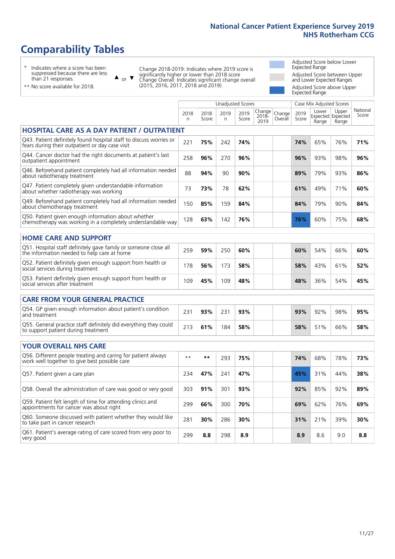# **Comparability Tables**

\* Indicates where a score has been suppressed because there are less than 21 responses.

\*\* No score available for 2018.

 $\triangle$  or  $\nabla$ 

Change 2018-2019: Indicates where 2019 score is significantly higher or lower than 2018 score Change Overall: Indicates significant change overall (2015, 2016, 2017, 2018 and 2019).

Adjusted Score below Lower Expected Range Adjusted Score between Upper and Lower Expected Ranges Adjusted Score above Upper Expected Range

|                                                                                                                       |           |               | <b>Unadjusted Scores</b> |               |                         |                   |               | Case Mix Adjusted Scores |                                     |                   |
|-----------------------------------------------------------------------------------------------------------------------|-----------|---------------|--------------------------|---------------|-------------------------|-------------------|---------------|--------------------------|-------------------------------------|-------------------|
|                                                                                                                       | 2018<br>n | 2018<br>Score | 2019<br>$\mathsf{n}$     | 2019<br>Score | Change<br>2018-<br>2019 | Change<br>Overall | 2019<br>Score | Lower<br>Range           | Upper<br>Expected Expected<br>Range | National<br>Score |
| <b>HOSPITAL CARE AS A DAY PATIENT / OUTPATIENT</b>                                                                    |           |               |                          |               |                         |                   |               |                          |                                     |                   |
| Q43. Patient definitely found hospital staff to discuss worries or<br>fears during their outpatient or day case visit | 221       | 75%           | 242                      | 74%           |                         |                   | 74%           | 65%                      | 76%                                 | 71%               |
| Q44. Cancer doctor had the right documents at patient's last<br>outpatient appointment                                | 258       | 96%           | 270                      | 96%           |                         |                   | 96%           | 93%                      | 98%                                 | 96%               |
| Q46. Beforehand patient completely had all information needed<br>about radiotherapy treatment                         | 88        | 94%           | 90                       | 90%           |                         |                   | 89%           | 79%                      | 93%                                 | 86%               |
| Q47. Patient completely given understandable information<br>about whether radiotherapy was working                    | 73        | 73%           | 78                       | 62%           |                         |                   | 61%           | 49%                      | 71%                                 | 60%               |
| Q49. Beforehand patient completely had all information needed<br>about chemotherapy treatment                         | 150       | 85%           | 159                      | 84%           |                         |                   | 84%           | 79%                      | 90%                                 | 84%               |
| Q50. Patient given enough information about whether<br>chemotherapy was working in a completely understandable way    | 128       | 63%           | 142                      | 76%           |                         |                   | 76%           | 60%                      | 75%                                 | 68%               |
| <b>HOME CARE AND SUPPORT</b>                                                                                          |           |               |                          |               |                         |                   |               |                          |                                     |                   |
| Q51. Hospital staff definitely gave family or someone close all<br>the information needed to help care at home        | 259       | 59%           | 250                      | 60%           |                         |                   | 60%           | 54%                      | 66%                                 | 60%               |
| Q52. Patient definitely given enough support from health or<br>social services during treatment                       | 178       | 56%           | 173                      | 58%           |                         |                   | 58%           | 43%                      | 61%                                 | 52%               |
| Q53. Patient definitely given enough support from health or<br>social services after treatment                        | 109       | 45%           | 109                      | 48%           |                         |                   | 48%           | 36%                      | 54%                                 | 45%               |
| <b>CARE FROM YOUR GENERAL PRACTICE</b>                                                                                |           |               |                          |               |                         |                   |               |                          |                                     |                   |
| Q54. GP given enough information about patient's condition<br>and treatment                                           | 231       | 93%           | 231                      | 93%           |                         |                   | 93%           | 92%                      | 98%                                 | 95%               |
| Q55. General practice staff definitely did everything they could<br>to support patient during treatment               | 213       | 61%           | 184                      | 58%           |                         |                   | 58%           | 51%                      | 66%                                 | 58%               |
| <b>YOUR OVERALL NHS CARE</b>                                                                                          |           |               |                          |               |                         |                   |               |                          |                                     |                   |
| Q56. Different people treating and caring for patient always                                                          | $* *$     | $***$         |                          |               |                         |                   |               |                          |                                     |                   |
| work well together to give best possible care                                                                         |           |               | 293                      | 75%           |                         |                   | 74%           | 68%                      | 78%                                 | 73%               |
| Q57. Patient given a care plan                                                                                        | 234       | 47%           | 241                      | 47%           |                         |                   | 45%           | 31%                      | 44%                                 | 38%               |
| Q58. Overall the administration of care was good or very good                                                         | 303       | 91%           | 301                      | 93%           |                         |                   | 92%           | 85%                      | 92%                                 | 89%               |
| Q59. Patient felt length of time for attending clinics and<br>appointments for cancer was about right                 | 299       | 66%           | 300                      | 70%           |                         |                   | 69%           | 62%                      | 76%                                 | 69%               |
| Q60. Someone discussed with patient whether they would like<br>to take part in cancer research                        | 281       | 30%           | 286                      | 30%           |                         |                   | 31%           | 21%                      | 39%                                 | 30%               |
| Q61. Patient's average rating of care scored from very poor to<br>very good                                           | 299       | 8.8           | 298                      | 8.9           |                         |                   | 8.9           | 8.6                      | 9.0                                 | 8.8               |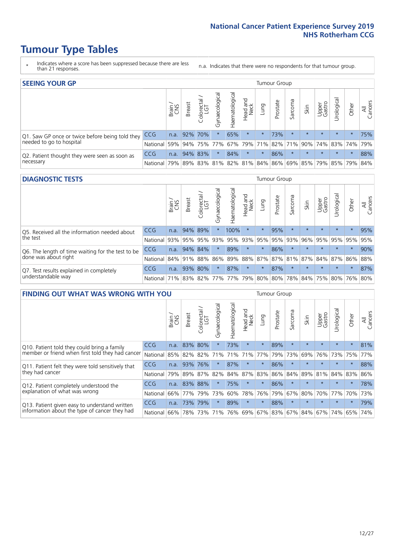# **Tumour Type Tables**

- \* Indicates where a score has been suppressed because there are less than 21 responses.
- n.a. Indicates that there were no respondents for that tumour group.

| <b>SEEING YOUR GP</b>                                      |            |              |                 |             |                    |                |                                   |         | Tumour Group |         |         |                 |                                                           |         |                |
|------------------------------------------------------------|------------|--------------|-----------------|-------------|--------------------|----------------|-----------------------------------|---------|--------------|---------|---------|-----------------|-----------------------------------------------------------|---------|----------------|
|                                                            |            | Brain<br>CNS | <b>Breast</b>   | Colorectal  | ᠊ᢛ<br>Gynaecologic | Haematological | Head and<br>Neck                  | Lung    | Prostate     | Sarcoma | Skin    | Upper<br>Gastro | $\sigma$<br>Irologica                                     | Other   | All<br>Cancers |
| Q1. Saw GP once or twice before being told they            | CCG        |              | n.a. $92\%$ 70% |             |                    | 65%            | $\star$                           | $\star$ | 73%          | $\star$ | $\star$ | $\star$         | $\star$                                                   | $\star$ | 75%            |
| needed to go to hospital                                   | National   | 59%          |                 | 94% 75% 77% |                    |                | 67%   79%   71%   82%   71%   90% |         |              |         |         |                 | 74% 83% 74% 79%                                           |         |                |
| Q2. Patient thought they were seen as soon as<br>necessary | <b>CCG</b> | n.a.         |                 | 94% 83%     | $\star$            | 84%            | $\star$                           | $\star$ | 86%          | $\star$ | $\star$ | $\star$         | $\star$                                                   | $\star$ | 88%            |
|                                                            | National   | 79%          |                 | 89% 83%     |                    |                |                                   |         |              |         |         |                 | 81%   82%   81%   84%   86%   69%   85%   79%   85%   79% |         | 84%            |

#### **DIAGNOSTIC TESTS** Tumour Group

|                                                                |                                          | Brain<br>CNS | <b>Breast</b> | Colorectal<br>LGT | ᅙ<br>Gynaecologic | Haematological | Head and<br>Neck | Lung        | Prostate | Sarcoma | Skin    | Upper<br>Gastro | rological                                   | Other   | All<br>Cancers |
|----------------------------------------------------------------|------------------------------------------|--------------|---------------|-------------------|-------------------|----------------|------------------|-------------|----------|---------|---------|-----------------|---------------------------------------------|---------|----------------|
| Q5. Received all the information needed about                  | <b>CCG</b>                               | n.a.         |               | 94% 89%           |                   | 100%           | $\star$          | $\star$     | 95%      |         | $\star$ | $\star$         | $\star$                                     | $\star$ | 95%            |
| the test                                                       | National                                 | 93%          |               | 95% 95%           |                   | 93% 95%        |                  | 93% 95% 95% |          | 93%     | 96%     |                 | 95% 95%                                     | 95%     | 95%            |
| Q6. The length of time waiting for the test to be              | <b>CCG</b>                               | n.a.         | 94% 84%       |                   | $\star$           | 89%            | $\star$          | $\star$     | 86%      | $\star$ | $\star$ | $\star$         | $\star$                                     | $\star$ | 90%            |
| done was about right                                           | <b>National</b>                          |              |               | 84% 91% 88%       |                   |                |                  |             |          |         |         |                 | 86% 89% 88% 87% 87% 81% 87% 84% 87% 86% 88% |         |                |
| Q7. Test results explained in completely<br>understandable way | <b>CCG</b>                               | n.a.         |               | 93% 80%           | $\star$           | 87%            | $\star$          | $\star$     | 87%      | $\star$ | $\star$ | $\star$         | $\star$                                     | $\star$ | 87%            |
|                                                                | National 71% 83% 82% 77% 77% 79% 80% 80% |              |               |                   |                   |                |                  |             |          |         |         |                 | 78% 84% 75% 80% 76% 80%                     |         |                |

| <b>FINDING OUT WHAT WAS WRONG WITH YOU</b>                                                      |            |       |               |                             |                |                 |                        |             | <b>Tumour Group</b> |         |         |                 |            |         |                |
|-------------------------------------------------------------------------------------------------|------------|-------|---------------|-----------------------------|----------------|-----------------|------------------------|-------------|---------------------|---------|---------|-----------------|------------|---------|----------------|
|                                                                                                 |            | Brain | <b>Breast</b> | ╮<br>olorectal.<br>LGT<br>Ũ | Gynaecological | Haematological  | ad and<br>Neck<br>Head | Lung        | Prostate            | Sarcoma | Skin    | Upper<br>Gastro | Jrological | Other   | All<br>Cancers |
| Q10. Patient told they could bring a family<br>member or friend when first told they had cancer | <b>CCG</b> | n.a.  | 83%           | 80%                         |                | 73%             | $\star$                | $\star$     | 89%                 | $\star$ | $\star$ | $\star$         | $\star$    | $\star$ | 81%            |
|                                                                                                 | National   | 85%   | 82%           | 82%                         | 71%            | 71%             | 71%                    | 77%         | 79%                 | 73%     | 69%     | 76%             | 73%        | 75%     | 77%            |
| Q11. Patient felt they were told sensitively that                                               | <b>CCG</b> | n.a.  | 93%           | 76%                         |                | 87%             | $\star$                | $\star$     | 86%                 | $\star$ | $\star$ | $\star$         | $\star$    | $\star$ | 88%            |
| they had cancer                                                                                 | National   | 79%   | 89% 87%       |                             | 82%            |                 |                        | 84% 87% 83% | 86%                 | 84%     | 89%     | 81%             | 84% 83%    |         | 86%            |
| Q12. Patient completely understood the                                                          | <b>CCG</b> | n.a.  | 83%           | 88%                         |                | 75%             | $\star$                | $\star$     | 86%                 | $\star$ | $\star$ | $\star$         | $\star$    | $\star$ | 78%            |
| explanation of what was wrong                                                                   | National   | 66%   | 77%           | 79%                         | 73%            | 60%             | 78%                    | 76%         | 79%                 | 67%     | 80%     | 70%             | 77%        | 70%     | 73%            |
| Q13. Patient given easy to understand written                                                   | <b>CCG</b> | n.a.  | 73%           | 79%                         | $\star$        | 89%             | $\star$                | $\star$     | 88%                 | $\star$ | $\star$ | $\star$         | $\star$    | $\star$ | 79%            |
| information about the type of cancer they had                                                   | National   | 66%   | 78%           | 73%                         | 71%            | 76% 69% 67% 83% |                        |             |                     | 67%     | 84%     |                 | 67% 74%    | 65%     | 74%            |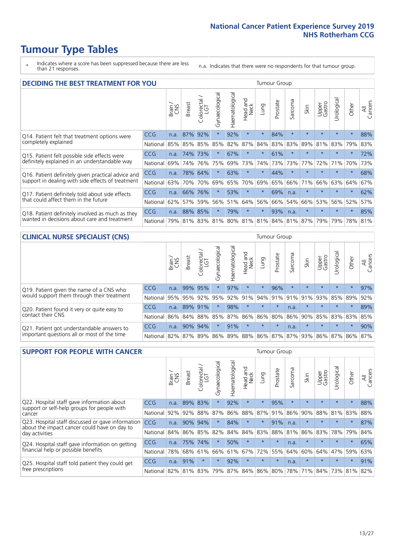# **Tumour Type Tables**

- \* Indicates where a score has been suppressed because there are less than 21 responses.
- n.a. Indicates that there were no respondents for that tumour group.

| <b>DECIDING THE BEST TREATMENT FOR YOU</b>         |          |       |               |                             |                |                |                         |         | <b>Tumour Group</b> |         |                                         |                 |           |         |                |
|----------------------------------------------------|----------|-------|---------------|-----------------------------|----------------|----------------|-------------------------|---------|---------------------|---------|-----------------------------------------|-----------------|-----------|---------|----------------|
|                                                    |          | Brain | <b>Breast</b> | olorectal.<br>LGT<br>$\cup$ | Gynaecological | Haematological | ead and<br>Neck<br>Head | Lung    | Prostate            | Sarcoma | Skin                                    | Upper<br>Gastro | Jrologica | Other   | All<br>Cancers |
| Q14. Patient felt that treatment options were      | CCG      | n.a.  | 87%           | 92%                         | $\star$        | 92%            | $\star$                 | $\star$ | 84%                 | $\star$ | $\star$                                 | $\star$         | $\star$   | $\star$ | 88%            |
| completely explained                               | National | 85%   |               | 85% 85%                     | 85%            | 82%            | 87%                     | 84%     | 83%                 | 83%     | 89%                                     | 81%             | 83%       | 79%     | 83%            |
| Q15. Patient felt possible side effects were       | CCG      | n.a.  | 74%           | 73%                         | $\star$        | 67%            | $\ast$                  | $\star$ | 61%                 | $\star$ |                                         | $\star$         | $\star$   | $\star$ | 72%            |
| definitely explained in an understandable way      | National | 69%   | 74%           | 76%                         | 75%            | 69%            | 73%                     | 74%     | 73%                 | 73%     | 77%                                     | 72%             | 71%       | 70%     | 73%            |
| Q16. Patient definitely given practical advice and | CCG      | n.a.  | 78%           | 64%                         | $\star$        | 63%            | $\star$                 | $\star$ | 44%                 | $\star$ | $\star$                                 | $\star$         | $\star$   | $\star$ | 68%            |
| support in dealing with side effects of treatment  | National | 63%   | 70%           | 70%                         | 69%            | 65%            | 70%                     | 69%     | 65%                 | 66%     | 71%                                     | 66%             | 63%       | 64%     | 67%            |
| Q17. Patient definitely told about side effects    | CCG      | n.a.  | 66%           | 76%                         | $\star$        | 53%            | $\star$                 | $\star$ | 69%                 | n.a.    | $\star$                                 | $\star$         | $\star$   | $\star$ | 62%            |
| that could affect them in the future               | National | 62%   | 57%           | 59%                         | 56%            | 51%            | 64%                     | 56%     | 66%                 | 54%     | 66%                                     | 53%             | 56%       | 52%     | 57%            |
| Q18. Patient definitely involved as much as they   | CCG      | n.a.  | 88%           | 85%                         | $\star$        | 79%            | $\star$                 | $\star$ | 93%                 | n.a.    | $\star$                                 | $\star$         | $\star$   | $\star$ | 85%            |
| wanted in decisions about care and treatment       | National | 79%   |               |                             |                |                |                         |         |                     |         | 81% 83% 81% 80% 81% 81% 84% 81% 87% 79% |                 | 79%       | 78% 81% |                |

#### **CLINICAL NURSE SPECIALIST (CNS)** Tumour Group

|                                                                                           |            | Brain | Breast  | Colorectal<br>LGT | Gynaecologic | $\overline{\sigma}$<br>aematologic | Head and<br>Neck        | Lung    | Prostate | Sarcoma | Skin    | Upper<br>Gastro | ᅙ<br>Jrologica | Other    | All<br>Cancers |
|-------------------------------------------------------------------------------------------|------------|-------|---------|-------------------|--------------|------------------------------------|-------------------------|---------|----------|---------|---------|-----------------|----------------|----------|----------------|
| Q19. Patient given the name of a CNS who<br>would support them through their treatment    | <b>CCG</b> | n.a.  | 99% 95% |                   |              | 97%                                | $\star$                 | $\star$ | 96%      | $\star$ | $\star$ | $\star$         | $\star$        | $\star$  | 97%            |
|                                                                                           | National   | 95%   | 95%     | 92%               | 95%          |                                    | 92% 91% 94% 91% 91% 91% |         |          |         |         | 93%             | 85% 89%        |          | 92%            |
| Q20. Patient found it very or quite easy to                                               | <b>CCG</b> | n.a.  | 89% 91% |                   | $\star$      | 98%                                | $\star$                 | $\star$ | $\star$  | n.a.    | $\star$ | $\star$         | $\star$        | $^\star$ | 89%            |
| contact their CNS                                                                         | National   | 86%   | 84%     | 88%               | 85%          |                                    | 87% 86% 86% 80%         |         |          | 86%     | 90%     | 85%             | 83% 83%        |          | 85%            |
| Q21. Patient got understandable answers to<br>important questions all or most of the time | <b>CCG</b> | n.a.  | 90%     | 94%               |              | 91%                                | $\star$                 | $\star$ | $\star$  | n.a.    | $\star$ | $\star$         | $\star$        | $^\star$ | 90%            |
|                                                                                           | National   | 82%   | 87%     | 89%               | 86%          |                                    | 89% 88% 86% 87% 87% 93% |         |          |         |         | 86%             | 87% 86%        |          | 87%            |

| <b>SUPPORT FOR PEOPLE WITH CANCER</b>                                                               |            |       |               |                             |                |                |                        |             | Tumour Group |         |         |                 |            |         |                |
|-----------------------------------------------------------------------------------------------------|------------|-------|---------------|-----------------------------|----------------|----------------|------------------------|-------------|--------------|---------|---------|-----------------|------------|---------|----------------|
|                                                                                                     |            | Brain | <b>Breast</b> | olorectal.<br>LGT<br>$\cup$ | Gynaecological | Haematological | ad and<br>Neck<br>Head | <b>Fung</b> | Prostate     | Sarcoma | Skin    | Upper<br>Gastro | Urological | Other   | All<br>Cancers |
| Q22. Hospital staff gave information about<br>support or self-help groups for people with<br>cancer | CCG        | n.a.  | 89%           | 83%                         | $\star$        | 92%            | $\star$                | $\star$     | 95%          | $\star$ | $\star$ | $\star$         | $\star$    | $\star$ | 88%            |
|                                                                                                     | National   | 92%   | 92%           | 88%                         | 87%            | 86%            | 88%                    | 87%         | 91%          | 86%     | 90%     | 88%             | 81%        | 83%     | 88%            |
| Q23. Hospital staff discussed or gave information<br>about the impact cancer could have on day to   | CCG        | n.a.  | 90%           | 94%                         | $\star$        | 84%            | $\star$                | $\star$     | 91%          | n.a.    | $\star$ | $\star$         | $\star$    | $\star$ | 87%            |
| day activities                                                                                      | National   | 84%   | 86%           | 85%                         | 82%            | 84%            | 84%                    | 83%         | 88%          | 81%     | 86%     | 83%             | 78%        | 79%     | 84%            |
| Q24. Hospital staff gave information on getting                                                     | <b>CCG</b> | n.a.  | 75%           | 74%                         | $\star$        | 50%            | $\star$                | $\star$     | $\star$      | n.a.    | $\star$ | $\star$         | $\star$    | $\star$ | 65%            |
| financial help or possible benefits                                                                 | National   | 78%   | 68%           | 61%                         | 66%            | 61%            | 67%                    | 72%         | 55%          | 64%     | 60%     | 64%             | 47%        | 59%     | 63%            |
| Q25. Hospital staff told patient they could get                                                     | <b>CCG</b> | n.a.  | 91%           | $\star$                     | $\star$        | 92%            | $\star$                | $\star$     | $\star$      | n.a.    | $\star$ | $\star$         | $\star$    | $\ast$  | 91%            |
| free prescriptions                                                                                  | National   | 82%   | 81%           | 83%                         | 79%            | 87%            | 84%                    | 86%         | 80%          | 78%     | 71%     | 84%             | 73%        | 81%     | 82%            |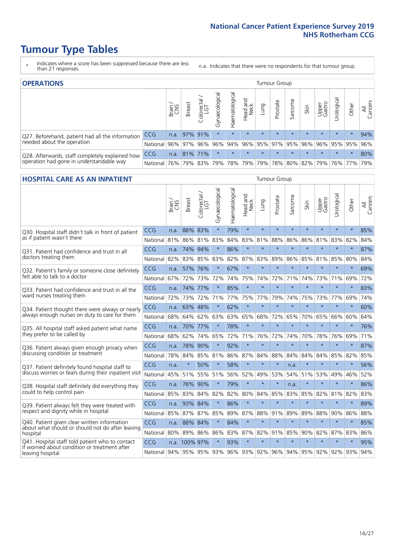# **Tumour Type Tables**

- \* Indicates where a score has been suppressed because there are less than 21 responses.
- n.a. Indicates that there were no respondents for that tumour group.

| <b>OPERATIONS</b>                                                                           |                      |       |               |            |                |                               |                  |         |                         | Tumour Group |         |                 |                                  |         |                |  |  |  |
|---------------------------------------------------------------------------------------------|----------------------|-------|---------------|------------|----------------|-------------------------------|------------------|---------|-------------------------|--------------|---------|-----------------|----------------------------------|---------|----------------|--|--|--|
|                                                                                             |                      | Brain | <b>Breast</b> | Colorectal | Gynaecological | $\overline{3}$<br>Haematologi | Head and<br>Neck | Lung    | Prostate                | Sarcoma      | Skin    | Upper<br>Gastro | $\overline{\sigma}$<br>Jrologica | Other   | All<br>Cancers |  |  |  |
| Q27. Beforehand, patient had all the information                                            | <b>CCG</b>           | n.a.  | 97% 91%       |            | $\star$        |                               | $\star$          | $\star$ | $\star$                 | $\star$      | $\star$ | $\star$         | $\star$                          | $\star$ | 94%            |  |  |  |
| needed about the operation                                                                  | National 96% 97% 96% |       |               |            | 96%            |                               |                  |         | 94% 96% 95% 97% 95% 96% |              |         |                 | 96%   95%   95%   96%            |         |                |  |  |  |
| Q28. Afterwards, staff completely explained how<br>operation had gone in understandable way | <b>CCG</b>           | n.a.  | 81% 71%       |            | $\star$        | $\star$                       | $\star$          | $\star$ | $\star$                 | $\star$      | $\star$ | $\star$         | $\star$                          | $\star$ | 80%            |  |  |  |
|                                                                                             | National             | 76%   |               |            |                | 79% 83% 79% 78% 79%           |                  |         |                         |              |         |                 | 79% 78% 80% 82% 79% 76% 77%      |         | 79%            |  |  |  |

#### **HOSPITAL CARE AS AN INPATIENT** Tumour Group

|                                                                                                   |                                                          | Brain | Breast        | Colorectal /<br>LGT | Gynaecological | Haematological | Head and<br>Neck | Lung    | Prostate | Sarcoma | Skin    | Upper<br>Gastro | Urological | Other   | Cancers<br>$\overline{\overline{z}}$ |
|---------------------------------------------------------------------------------------------------|----------------------------------------------------------|-------|---------------|---------------------|----------------|----------------|------------------|---------|----------|---------|---------|-----------------|------------|---------|--------------------------------------|
| Q30. Hospital staff didn't talk in front of patient                                               | CCG                                                      | n.a.  | 88%           | 83%                 | $\star$        | 79%            | $\star$          | $\star$ | $\star$  | $\star$ | $\star$ | $\star$         | $\star$    | $\star$ | 85%                                  |
| as if patient wasn't there                                                                        | National                                                 | 81%   | 86%           | 81%                 | 83%            | 84%            | 83%              | 81%     | 88%      | 86%     | 86%     | 81%             | 83%        | 82%     | 84%                                  |
| 031. Patient had confidence and trust in all<br>doctors treating them                             | CCG                                                      | n.a.  | 74% 94%       |                     | $\star$        | 86%            | $\star$          | $\star$ | $\star$  | $\star$ | $\star$ | $\star$         | $\star$    | $\star$ | 87%                                  |
|                                                                                                   | National                                                 | 82%   | 83%           | 85%                 | 83%            | 82%            |                  | 87% 83% | 89%      | 86%     | 85%     | 81%             | 85%        | 80%     | 84%                                  |
| Q32. Patient's family or someone close definitely                                                 | CCG                                                      | n.a.  | 57% 76%       |                     |                | 67%            | $\star$          | $\star$ | $\star$  | $\star$ | $\star$ | $\star$         | $\star$    | $\star$ | 69%                                  |
| felt able to talk to a doctor                                                                     | National                                                 | 67%   | 72%           | 73%                 | 72%            | 74%            | 75%              | 74%     | 72%      | 71%     | 74%     | 73%             | 71%        | 69%     | 72%                                  |
| O33. Patient had confidence and trust in all the                                                  | <b>CCG</b>                                               | n.a.  | 74%           | 77%                 |                | 85%            | $\star$          | $\star$ | $\star$  | $\star$ | $\star$ | $\star$         | $\star$    | $\star$ | 83%                                  |
| ward nurses treating them                                                                         | National                                                 | 72%   | 73%           | 72%                 | 71%            | 77%            |                  | 75% 77% | 79%      | 74%     | 75%     |                 | 73% 77%    | 69%     | 74%                                  |
| Q34. Patient thought there were always or nearly<br>always enough nurses on duty to care for them | CCG                                                      | n.a.  | 63%           | 48%                 | $\star$        | 62%            | $\star$          | $\star$ | $\star$  | $\star$ | $\star$ | $\star$         | $\star$    | $\star$ | 60%                                  |
|                                                                                                   | National                                                 | 68%   | 64%           | 62%                 | 63%            | 63%            |                  | 65% 68% | 72%      | 65%     |         | 70% 65%         | 66%        | 60%     | 64%                                  |
| Q35. All hospital staff asked patient what name                                                   | CCG                                                      | n.a.  | 70% 77%       |                     | $\star$        | 78%            | $\star$          | $\star$ | $\star$  | $\star$ | $\star$ | $\star$         | $\star$    | $\star$ | 76%                                  |
| they prefer to be called by                                                                       | National                                                 | 68%   | 62%           | 74%                 | 65%            | 72%            | 71%              | 76%     | 72%      | 74%     | 70%     | 78%             | 76%        | 69%     | 71%                                  |
| Q36. Patient always given enough privacy when                                                     | CCG                                                      | n.a.  | 78%           | 90%                 |                | 92%            | $\star$          | $\star$ | $\star$  | $\star$ | $\star$ | $\star$         | $\star$    | $\star$ | 87%                                  |
| discussing condition or treatment                                                                 | National                                                 | 78%   | 84%           | 85%                 | 81%            | 86%            |                  | 87% 84% | 88%      | 84%     | 84%     | 84%             | 85%        | 82%     | 85%                                  |
| Q37. Patient definitely found hospital staff to                                                   | <b>CCG</b>                                               | n.a.  | $\ast$        | 50%                 |                | 58%            | $\star$          | $\star$ | $\star$  | n.a.    | $\star$ | $\star$         | $\star$    | $\star$ | 56%                                  |
| discuss worries or fears during their inpatient visit                                             | National                                                 | 45%   | 51%           | 55%                 | 51%            | 56%            | 52%              | 49%     | 53%      | 54%     | 51%     |                 | 53% 49%    | 46%     | 52%                                  |
| Q38. Hospital staff definitely did everything they                                                | CCG                                                      | n.a.  | 76% 90%       |                     | $\star$        | 79%            | $\star$          | $\star$ | $\star$  | n.a.    | $\star$ | $\star$         | $\star$    | $\star$ | 86%                                  |
| could to help control pain                                                                        | National                                                 | 85%   | 83%           | 84%                 | 82%            | 82%            |                  | 80% 84% | 85%      | 83%     | 85% 82% |                 | 81%        | 82%     | 83%                                  |
| Q39. Patient always felt they were treated with                                                   | CCG                                                      | n.a.  | 93% 84%       |                     | $\star$        | 86%            | $\star$          | $\star$ | $\star$  | $\star$ | $\star$ | $\star$         | $\star$    | $\star$ | 89%                                  |
| respect and dignity while in hospital                                                             | National                                                 | 85%   | 87%           | 87%                 | 85%            | 89%            | 87%              | 88%     | 91%      | 89%     | 89%     | 88%             | 90%        | 86%     | 88%                                  |
| Q40. Patient given clear written information<br>about what should or should not do after leaving  | <b>CCG</b>                                               | n.a.  | 88% 84%       |                     |                | 84%            | $\star$          | $\star$ | $\star$  | $\star$ | $\star$ | $\star$         | $\star$    | $\star$ | 85%                                  |
| hospital                                                                                          | National                                                 | 80%   | 89% 86%       |                     | 86%            | 83%            |                  | 87% 82% | 91%      | 85%     | 90%     | 82%             | 87%        | 83%     | 86%                                  |
| Q41. Hospital staff told patient who to contact<br>if worried about condition or treatment after  | CCG                                                      |       | n.a. 100% 97% |                     | $\star$        | 93%            | $\star$          | $\star$ | $\star$  | $\star$ | $\star$ | $\star$         | $\star$    | $\star$ | 95%                                  |
| leaving hospital                                                                                  | National 94% 95% 95% 93% 96% 93% 92% 96% 94% 95% 92% 92% |       |               |                     |                |                |                  |         |          |         |         |                 |            | 93% 94% |                                      |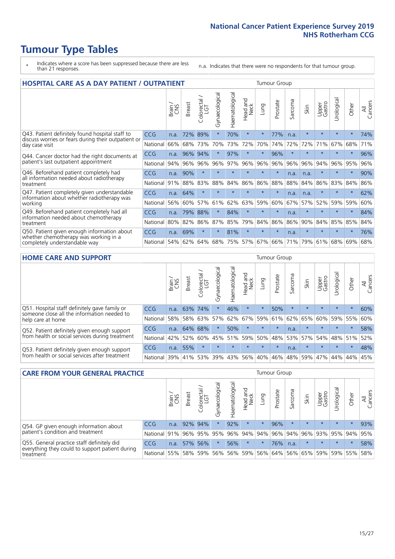# **Tumour Type Tables**

- \* Indicates where a score has been suppressed because there are less than 21 responses.
- n.a. Indicates that there were no respondents for that tumour group.

| <b>HOSPITAL CARE AS A DAY PATIENT / OUTPATIENT</b><br><b>Tumour Group</b>                                                |            |       |               |                         |                |                |                         |          |          |             |         |                 |            |         |                |
|--------------------------------------------------------------------------------------------------------------------------|------------|-------|---------------|-------------------------|----------------|----------------|-------------------------|----------|----------|-------------|---------|-----------------|------------|---------|----------------|
|                                                                                                                          |            | Brain | <b>Breast</b> | olorectal /<br>LGT<br>Ũ | Gynaecological | Haematological | aad and<br>Neck<br>Head | Lung     | Prostate | arcoma<br>S | Skin    | Upper<br>Gastro | Jrological | Other   | All<br>Cancers |
| Q43. Patient definitely found hospital staff to<br>discuss worries or fears during their outpatient or<br>day case visit | CCG        | n.a.  | 72%           | 89%                     | $\star$        | 70%            | $\star$                 | $^\star$ | 77%      | n.a.        | $\star$ | $\star$         | $\star$    | $\star$ | 74%            |
|                                                                                                                          | National   | 66%   | 68%           | 73%                     | 70%            | 73%            | 72%                     | 70%      | 74%      | 72%         | 72%     | 71%             | 67%        | 68%     | 71%            |
| Q44. Cancer doctor had the right documents at<br>patient's last outpatient appointment                                   | <b>CCG</b> | n.a.  | 96%           | 94%                     | $^\star$       | 97%            | $\star$                 | $\star$  | 96%      | $\star$     |         | $\star$         | $\star$    | $\ast$  | 96%            |
|                                                                                                                          | National   | 94%   | 96%           | 96%                     | 96%            | 97%            | 96%                     | 96%      | 96%      | 96%         | 96%     | 94%             | 96%        | 95%     | 96%            |
| Q46. Beforehand patient completely had<br>all information needed about radiotherapy                                      | CCG        | n.a.  | 90%           | $\star$                 |                |                | $\star$                 | $\star$  | $\star$  | n.a.        | n.a.    | $\star$         | $\star$    | $\star$ | 90%            |
| treatment                                                                                                                | National   | 91%   | 88%           | 83%                     | 88%            | 84%            | 86%                     | 86%      | 88%      | 88%         | 84%     | 86%             | 83%        | 84%     | 86%            |
| Q47. Patient completely given understandable<br>information about whether radiotherapy was                               | <b>CCG</b> | n.a.  | 64%           | $\star$                 | $\star$        |                | $\star$                 | $\star$  | $\star$  | n.a.        | n.a.    | $\star$         | $\star$    | $\ast$  | 62%            |
| working                                                                                                                  | National   | 56%   | 60%           | 57%                     | 61%            | 62%            | 63%                     | 59%      | 60%      | 67%         | 57%     | 52%             | 59%        | 59%     | 60%            |
| Q49. Beforehand patient completely had all                                                                               | CCG        | n.a.  | 79%           | 88%                     | $\star$        | 84%            | $\star$                 | $\star$  | $\star$  | n.a.        | $\star$ | $\star$         | $\star$    | $\ast$  | 84%            |
| information needed about chemotherapy<br>treatment                                                                       | National   | 80%   | 82%           | 86%                     | 87%            | 85%            | 79%                     | 84%      | 86%      | 86%         | 90%     | 84%             | 85%        | 85%     | 84%            |
| Q50. Patient given enough information about<br>whether chemotherapy was working in a<br>completely understandable way    | <b>CCG</b> | n.a.  | 69%           | $\star$                 | $\star$        | 81%            | $\star$                 | $\star$  | $\star$  | n.a.        | $\star$ |                 |            | $\star$ | 76%            |
|                                                                                                                          | National   | 54%   | 62%           | 64%                     | 68%            | 75%            |                         | 57% 67%  | 66%      | 71%         | 79%     | 61%             | 68%        | 69%     | 68%            |

#### **HOME CARE AND SUPPORT** Tumour Group

|                                                                                                                   |            | Brain | <b>Breast</b> | olorectal.<br>LGT<br>Ũ | σ<br>Ü<br>Gynaecologi | Haematological | ad and<br>Neck<br>Head | <b>Lung</b> | Prostate | Sarcoma | Skin    | Upper<br>Gastro | rological   | Other   | All<br>Cancers |
|-------------------------------------------------------------------------------------------------------------------|------------|-------|---------------|------------------------|-----------------------|----------------|------------------------|-------------|----------|---------|---------|-----------------|-------------|---------|----------------|
| Q51. Hospital staff definitely gave family or<br>someone close all the information needed to<br>help care at home | <b>CCG</b> | n.a.  | 63%           | 74%                    | $\star$               | 46%            | $\ast$                 | $\star$     | 50%      | $\star$ | $\star$ | $\star$         | $\star$     | $\star$ | 60%            |
|                                                                                                                   | National   | 58%   | 58%           | 63%                    | 57%                   | 62%            | 67%                    | 59%         | 61%      |         | 62% 65% | 60%             | 59% 55%     |         | 60%            |
| Q52. Patient definitely given enough support<br>from health or social services during treatment                   | <b>CCG</b> | n.a.  | 64%           | 68%                    | $\star$               | 50%            | $\star$                | $\star$     | $\star$  | n.a.    | $\star$ | $\star$         | $\star$     | $\star$ | 58%            |
|                                                                                                                   | National   | 42%   | 52%           | 60%                    |                       | 45% 51%        | 59%                    | 50%         | 48%      |         | 53% 57% |                 | 54% 48% 51% |         | 52%            |
| Q53. Patient definitely given enough support<br>from health or social services after treatment                    | <b>CCG</b> | n.a.  | 55%           |                        | $\star$               |                | $\star$                | $\star$     | $\star$  | n.a.    | $\star$ | $\star$         | $\star$     | $\star$ | 48%            |
|                                                                                                                   | National   | 39%   |               | 41% 53%                | 39%                   | 43%            | 56%                    | 40%         | 46%      |         | 48% 59% | 47%             | 44%         | 44%     | 45%            |

| <b>CARE FROM YOUR GENERAL PRACTICE</b>                                      |              |              |               |                        |               |                |                                     | <b>Tumour Group</b> |          |         |         |                 |                |         |                |  |
|-----------------------------------------------------------------------------|--------------|--------------|---------------|------------------------|---------------|----------------|-------------------------------------|---------------------|----------|---------|---------|-----------------|----------------|---------|----------------|--|
|                                                                             |              | Brain,       | <b>Breast</b> | ╮<br>Colorectal<br>LGT | Gynaecologica | Haematological | Head and<br>Neck                    | Lung                | Prostate | Sarcoma | Skin    | Upper<br>Gastro | Φ<br>Urologica | Other   | All<br>Cancers |  |
| Q54. GP given enough information about<br>patient's condition and treatment | CCG          | n.a.         |               | 92% 94%                |               | 92%            | $\star$                             | $\star$             | 96%      | $\star$ | $\star$ | $\star$         | $\star$        | $\star$ | 93%            |  |
|                                                                             | National 91% |              |               |                        | 96% 95% 95%   |                | 96% 94% 94% 96% 94% 96% 93% 95% 94% |                     |          |         |         |                 |                |         | 95%            |  |
| Q55. General practice staff definitely did                                  | <b>CCG</b>   | n.a.         |               | 57% 56%                |               | 56%            | $\star$                             | $\star$             | 76%      | n.a.    | $\star$ | $\star$         | $\star$        | $\star$ | 58%            |  |
| everything they could to support patient during<br>treatment                |              | National 55% |               |                        | 58% 59% 56%   |                | 56% 59% 56% 64% 56% 65% 59% 59% 55% |                     |          |         |         |                 |                |         | 58%            |  |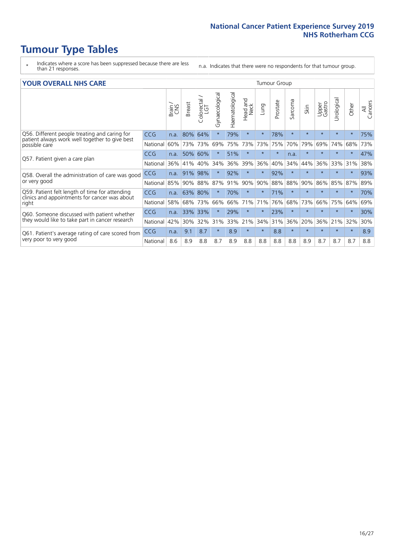# **Tumour Type Tables**

- \* Indicates where a score has been suppressed because there are less than 21 responses.
- n.a. Indicates that there were no respondents for that tumour group.

#### **YOUR OVERALL NHS CARE** THE CONSTRUCTION OF THE THROUP GROUP TUMOUR GROUP

| UN V V LIVALL IVI 19 GAINL                                                                                       |            |       |               |                             |                |                |                         |         |          |                      |         |                 |                |          |                |
|------------------------------------------------------------------------------------------------------------------|------------|-------|---------------|-----------------------------|----------------|----------------|-------------------------|---------|----------|----------------------|---------|-----------------|----------------|----------|----------------|
|                                                                                                                  |            | Brain | <b>Breast</b> | olorectal.<br>LGT<br>$\cup$ | Gynaecological | Haematological | aad and<br>Neck<br>Head | Lung    | Prostate | arcoma<br>$\sqrt{ }$ | Skin    | Upper<br>Gastro | लु<br>Urologia | Other    | All<br>Cancers |
| Q56. Different people treating and caring for<br>patient always work well together to give best<br>possible care | <b>CCG</b> | n.a.  | 80%           | 64%                         |                | 79%            | $\star$                 | $\star$ | 78%      | $\star$              | $\star$ | $\star$         | $\star$        | $\ast$   | 75%            |
|                                                                                                                  | National   | 60%   | 73%           | 73%                         | 69%            | 75%            | 73%                     | 73%     | 75%      | 70%                  | 79%     | 69%             | 74%            | 68%      | 73%            |
| Q57. Patient given a care plan                                                                                   | <b>CCG</b> | n.a.  | 50%           | 60%                         |                | 51%            | $\star$                 | $\star$ | $\star$  | n.a.                 | $\star$ |                 |                | $^\star$ | 47%            |
|                                                                                                                  | National   | 36%   | 41%           | 40%                         | 34%            | 36%            | 39%                     | 36%     | 40%      | 34%                  | 44%     | 36%             | 33%            | 31%      | 38%            |
| Q58. Overall the administration of care was good                                                                 | <b>CCG</b> | n.a.  | 91%           | 98%                         |                | 92%            | $\ast$                  | $\star$ | 92%      | $\star$              | $\star$ |                 |                | $\star$  | 93%            |
| or very good                                                                                                     | National   | 85%   | 90%           | 88%                         | 87%            | 91%            | 90%                     | 90%     | 88%      | 88%                  | 90%     | 86%             | 85%            | 87%      | 89%            |
| Q59. Patient felt length of time for attending<br>clinics and appointments for cancer was about                  | CCG        | n.a.  | 63%           | 80%                         |                | 70%            | $\star$                 | $\star$ | 71%      | $\star$              | $\star$ |                 | $\star$        | $\ast$   | 70%            |
| right                                                                                                            | National   | 58%   | 68%           | 73%                         | 66%            | 66%            | 71%                     | 71%     | 76%      | 68%                  | 73%     | 66%             | 75%            | 64%      | 69%            |
| Q60. Someone discussed with patient whether                                                                      | <b>CCG</b> | n.a.  | 33%           | 33%                         |                | 29%            | $^\star$                | $\star$ | 23%      | $\star$              | $\star$ |                 |                | $\star$  | 30%            |
| they would like to take part in cancer research                                                                  | National   | 42%   | 30%           | 32%                         | 31%            | 33%            | 21%                     | 34%     | 31%      | 36%                  | 20%     | 36%             | 21%            | 32%      | 30%            |
| Q61. Patient's average rating of care scored from<br>very poor to very good                                      | <b>CCG</b> | n.a.  | 9.1           | 8.7                         | $\star$        | 8.9            | $\star$                 | $\star$ | 8.8      | $\star$              | $\star$ | $\star$         | $\star$        | $\ast$   | 8.9            |
|                                                                                                                  | National   | 8.6   | 8.9           | 8.8                         | 8.7            | 8.9            | 8.8                     | 8.8     | 8.8      | 8.8                  | 8.9     | 8.7             | 8.7            | 8.7      | 8.8            |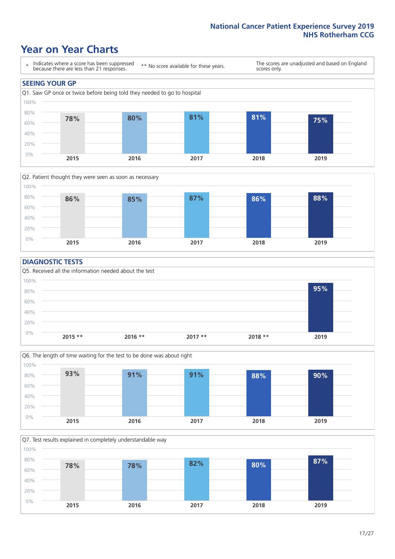# **Year on Year Charts**





#### **DIAGNOSTIC TESTS**





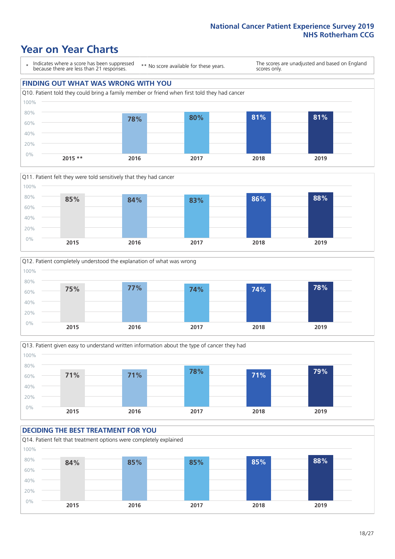# **Year on Year Charts**

\* Indicates where a score has been suppressed because there are less than 21 responses.

\*\* No score available for these years.

The scores are unadjusted and based on England scores only.

### **FINDING OUT WHAT WAS WRONG WITH YOU** Q10. Patient told they could bring a family member or friend when first told they had cancer 0% 20% 40% 60% 80% 100% **2015 \*\* 2016 2017 2018 2019 78% 80% 81% 81%**







#### **DECIDING THE BEST TREATMENT FOR YOU** Q14. Patient felt that treatment options were completely explained 0% 20% 40% 60% 80% 100% **2015 2016 2017 2018 2019 84% 85% 85% 85% 88%**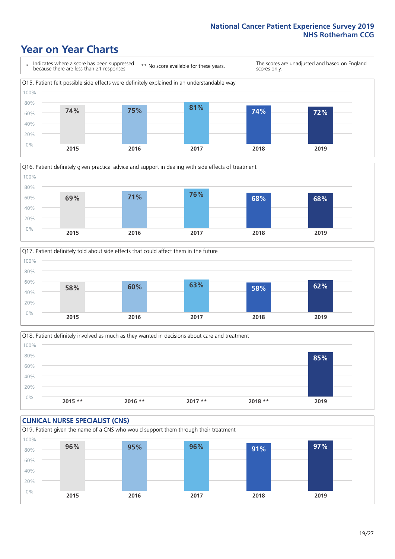# **Year on Year Charts**









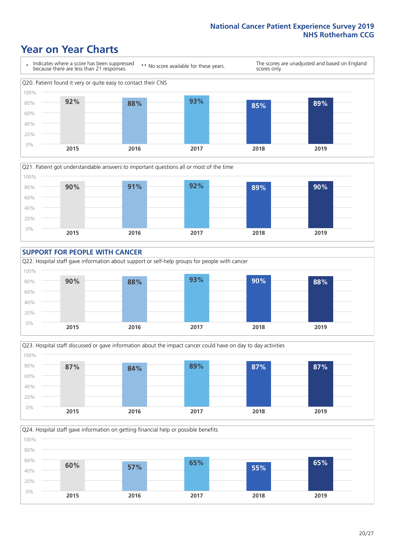# **Year on Year Charts**









Q24. Hospital staff gave information on getting financial help or possible benefits 0% 20% 40% 60% 80% 100% **2015 2016 2017 2018 2019 60% 57% 65% 55% 65%**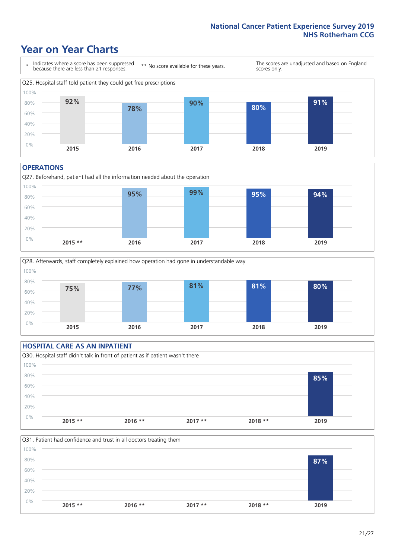# **Year on Year Charts**



#### **OPERATIONS**





### **HOSPITAL CARE AS AN INPATIENT** Q30. Hospital staff didn't talk in front of patient as if patient wasn't there 0% 20% 40% 60% 80% 100% **2015 \*\* 2016 \*\* 2017 \*\* 2018 \*\* 2019 85%**

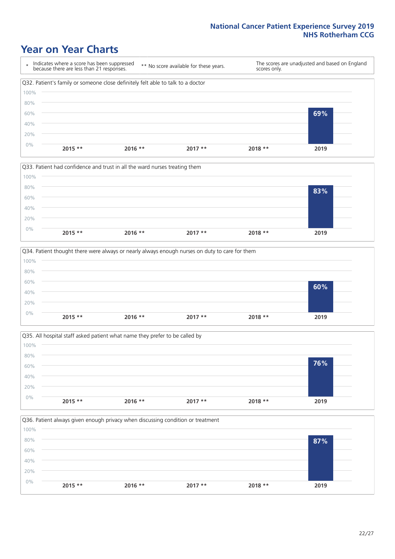# **Year on Year Charts**









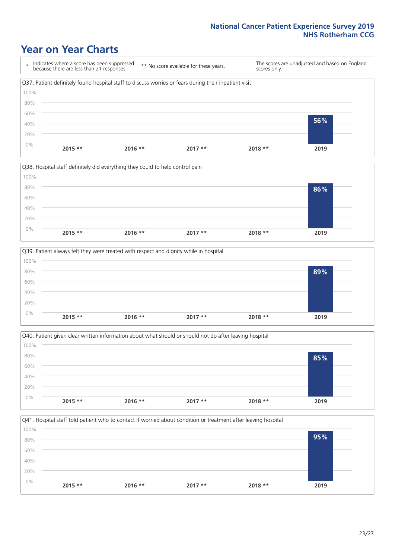# **Year on Year Charts**









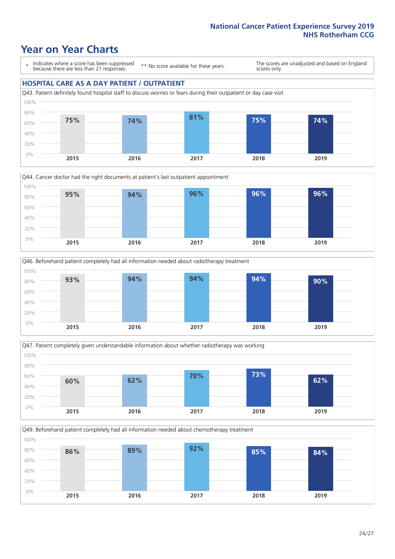# **Year on Year Charts**

\* Indicates where a score has been suppressed because there are less than 21 responses.

\*\* No score available for these years.

The scores are unadjusted and based on England scores only.

### **HOSPITAL CARE AS A DAY PATIENT / OUTPATIENT**









Q49. Beforehand patient completely had all information needed about chemotherapy treatment 100%

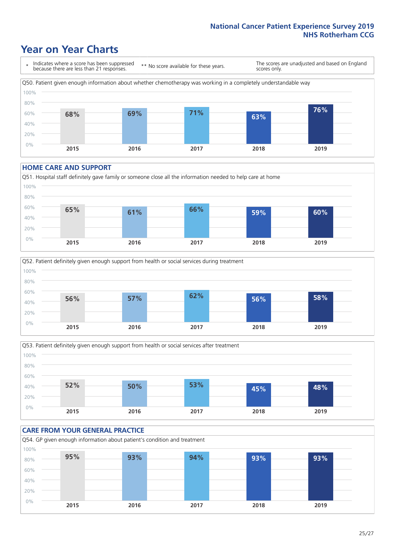# **Year on Year Charts**

\* Indicates where a score has been suppressed because there are less than 21 responses. \*\* No score available for these years. The scores are unadjusted and based on England scores only. Q50. Patient given enough information about whether chemotherapy was working in a completely understandable way 0% 20% 40% 60% 80% 100% **2015 2016 2017 2018 2019 68% 69% 71% 63% 76%**

#### **HOME CARE AND SUPPORT**







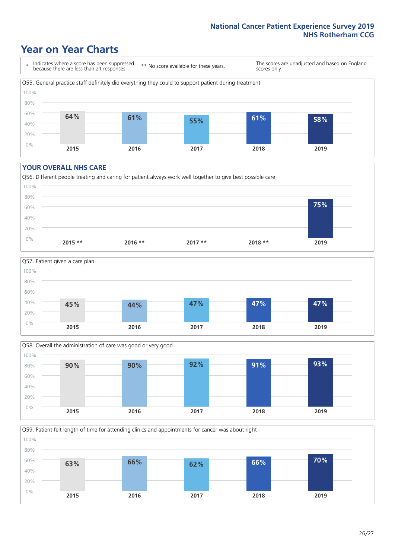# **Year on Year Charts**

\* Indicates where a score has been suppressed because there are less than 21 responses.

\*\* No score available for these years.

The scores are unadjusted and based on England scores only.



#### **YOUR OVERALL NHS CARE**







Q59. Patient felt length of time for attending clinics and appointments for cancer was about right